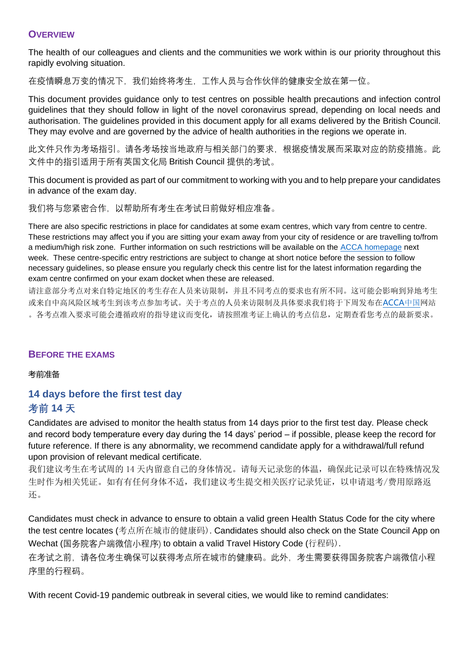#### **OVERVIEW**

The health of our colleagues and clients and the communities we work within is our priority throughout this rapidly evolving situation.

在疫情瞬息万变的情况下,我们始终将考生,工作人员与合作伙伴的健康安全放在第一位。

This document provides guidance only to test centres on possible health precautions and infection control guidelines that they should follow in light of the novel coronavirus spread, depending on local needs and authorisation. The guidelines provided in this document apply for all exams delivered by the British Council. They may evolve and are governed by the advice of health authorities in the regions we operate in.

此文件只作为考场指引。请各考场按当地政府与相关部门的要求,根据疫情发展而采取对应的防疫措施。此 文件中的指引适用于所有英国文化局 British Council 提供的考试。

This document is provided as part of our commitment to working with you and to help prepare your candidates in advance of the exam day.

我们将与您紧密合作,以帮助所有考生在考试日前做好相应准备。

There are also specific restrictions in place for candidates at some exam centres, which vary from centre to centre. These restrictions may affect you if you are sitting your exam away from your city of residence or are travelling to/from a medium/high risk zone. Further information on such restrictions will be available on the [ACCA homepage](https://gbr01.safelinks.protection.outlook.com/?url=https%3A%2F%2Fcn.accaglobal.com%2Findex.html&data=04%7C01%7CDuncan.Fergusson%40accaglobal.com%7C2627676436174f9f9d7508d95e30b31f%7Cf2e7de2c59ba49fe8c684cd333f96b01%7C0%7C0%7C637644385515927699%7CUnknown%7CTWFpbGZsb3d8eyJWIjoiMC4wLjAwMDAiLCJQIjoiV2luMzIiLCJBTiI6Ik1haWwiLCJXVCI6Mn0%3D%7C1000&sdata=TvV8XxS96mmaEajtJ5PqmlbLONz%2B7RGdYJcPrVqUW6o%3D&reserved=0) next week. These centre-specific entry restrictions are subject to change at short notice before the session to follow necessary guidelines, so please ensure you regularly check this centre list for the latest information regarding the exam centre confirmed on your exam docket when these are released.

请注意部分考点对来自特定地区的考生存在人员来访限制,并且不同考点的要求也有所不同。这可能会影响到异地考生 或来自中高风险区域考生到该考点参加考试。关于考点的人员来访限制及具体要求我们将于下周发布在[ACCA](https://cn.accaglobal.com/index.html)[中国网](https://cn.accaglobal.com/index.html)站 。各考点准入要求可能会遵循政府的指导建议而变化,请按照准考证上确认的考点信息,定期查看您考点的最新要求。

#### **BEFORE THE EXAMS**

考前准备

# **14 days before the first test day 考前 14 天**

Candidates are advised to monitor the health status from 14 days prior to the first test day. Please check and record body temperature every day during the 14 days' period – if possible, please keep the record for future reference. If there is any abnormality, we recommend candidate apply for a withdrawal/full refund upon provision of relevant medical certificate.

我们建议考生在考试周的14天内留意自己的身体情况。请每天记录您的体温,确保此记录可以在特殊情况发 生时作为相关凭证。如有有任何身体不适,我们建议考生提交相关医疗记录凭证,以申请退考/费用原路返 还。

Candidates must check in advance to ensure to obtain a valid green Health Status Code for the city where the test centre locates (考点所在城市的健康码). Candidates should also check on the State Council App on Wechat (国务院客户端微信小程序) to obtain a valid Travel History Code (行程码).

在考试之前,请各位考生确保可以获得考点所在城市的健康码。此外,考生需要获得国务院客户端微信小程 序里的行程码。

With recent Covid-19 pandemic outbreak in several cities, we would like to remind candidates: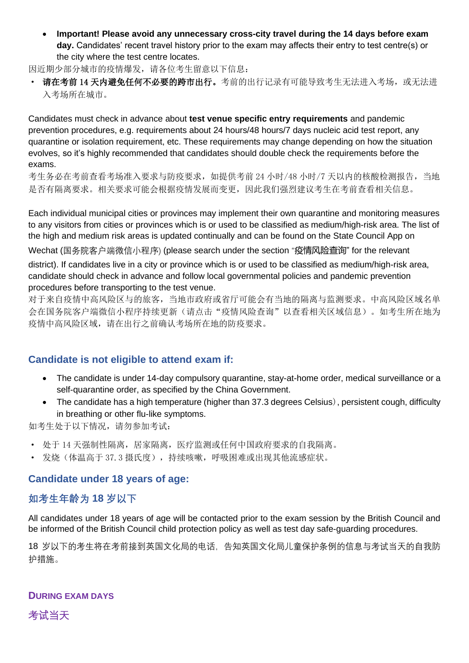• **Important! Please avoid any unnecessary cross-city travel during the 14 days before exam day.** Candidates' recent travel history prior to the exam may affects their entry to test centre(s) or the city where the test centre locates.

因近期少部分城市的疫情爆发,请各位考生留意以下信息:

• 请在考前 14 天内避免任何不必要的跨市出行。考前的出行记录有可能导致考生无法进入考场, 或无法进 入考场所在城市。

Candidates must check in advance about **test venue specific entry requirements** and pandemic prevention procedures, e.g. requirements about 24 hours/48 hours/7 days nucleic acid test report, any quarantine or isolation requirement, etc. These requirements may change depending on how the situation evolves, so it's highly recommended that candidates should double check the requirements before the exams.

考生务必在考前查看考场准入要求与防疫要求,如提供考前 24 小时/48 小时/7 天以内的核酸检测报告,当地 是否有隔离要求。相关要求可能会根据疫情发展而变更,因此我们强烈建议考生在考前查看相关信息。

Each individual municipal cities or provinces may implement their own quarantine and monitoring measures to any visitors from cities or provinces which is or used to be classified as medium/high-risk area. The list of the high and medium risk areas is updated continually and can be found on the State Council App on

Wechat (国务院客户端微信小程序) (please search under the section "疫情风险查询" for the relevant

district). If candidates live in a city or province which is or used to be classified as medium/high-risk area, candidate should check in advance and follow local governmental policies and pandemic prevention procedures before transporting to the test venue.

对于来自疫情中高风险区与的旅客,当地市政府或省厅可能会有当地的隔离与监测要求。中高风险区域名单 会在国务院客户端微信小程序持续更新(请点击"疫情风险查询"以查看相关区域信息)。如考生所在地为 疫情中高风险区域,请在出行之前确认考场所在地的防疫要求。

# **Candidate is not eligible to attend exam if:**

- The candidate is under 14-day compulsory quarantine, stay-at-home order, medical surveillance or a self-quarantine order, as specified by the China Government.
- The candidate has a high temperature (higher than 37.3 degrees Celsius), persistent cough, difficulty in breathing or other flu-like symptoms.

如考生处于以下情况,请勿参加考试:

- · 处于 14 天强制性隔离,居家隔离,医疗监测或任何中国政府要求的自我隔离。
- · 发烧(体温高于 37.3 摄氏度),持续咳嗽,呼吸困难或出现其他流感症状。

### **Candidate under 18 years of age:**

# **如考生年龄为 18 岁以下**

All candidates under 18 years of age will be contacted prior to the exam session by the British Council and be informed of the British Council child protection policy as well as test day safe-guarding procedures.

18 岁以下的考生将在考前接到英国文化局的电话,告知英国文化局儿童保护条例的信息与考试当天的自我防 护措施。

### **DURING EXAM DAYS**

考试当天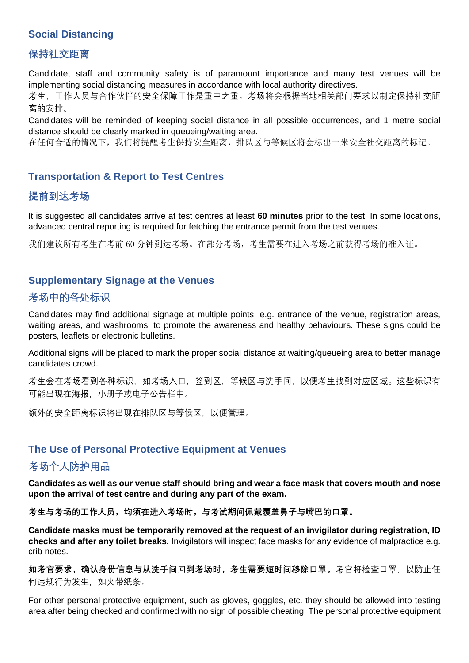# **Social Distancing**

# **保持社交距离**

Candidate, staff and community safety is of paramount importance and many test venues will be implementing social distancing measures in accordance with local authority directives.

考生,工作人员与合作伙伴的安全保障工作是重中之重。考场将会根据当地相关部门要求以制定保持社交距 离的安排。

Candidates will be reminded of keeping social distance in all possible occurrences, and 1 metre social distance should be clearly marked in queueing/waiting area.

在任何合适的情况下,我们将提醒考生保持安全距离,排队区与等候区将会标出一米安全社交距离的标记。

# **Transportation & Report to Test Centres**

### **提前到**达考场

It is suggested all candidates arrive at test centres at least **60 minutes** prior to the test. In some locations, advanced central reporting is required for fetching the entrance permit from the test venues.

我们建议所有考生在考前 60 分钟到达考场。在部分考场,考生需要在进入考场之前获得考场的准入证。

### **Supplementary Signage at the Venues**

# 考场中的各处标识

Candidates may find additional signage at multiple points, e.g. entrance of the venue, registration areas, waiting areas, and washrooms, to promote the awareness and healthy behaviours. These signs could be posters, leaflets or electronic bulletins.

Additional signs will be placed to mark the proper social distance at waiting/queueing area to better manage candidates crowd.

考生会在考场看到各种标识,如考场入口,签到区,等候区与洗手间,以便考生找到对应区域。这些标识有 可能出现在海报,小册子或电子公告栏中。

额外的安全距离标识将出现在排队区与等候区,以便管理。

### **The Use of Personal Protective Equipment at Venues**

# 考场个人防护用品

**Candidates as well as our venue staff should bring and wear a face mask that covers mouth and nose upon the arrival of test centre and during any part of the exam.**

**考生与考场的工作人员,均须在进入考场时,与考试期间佩戴覆盖鼻子与嘴巴的口罩。**

**Candidate masks must be temporarily removed at the request of an invigilator during registration, ID checks and after any toilet breaks.** Invigilators will inspect face masks for any evidence of malpractice e.g. crib notes.

**如考官要求,确认身份信息与从洗手间回到考场时,考生需要短时间移除口罩。**考官将检查口罩,以防止任 何违规行为发生,如夹带纸条。

For other personal protective equipment, such as gloves, goggles, etc. they should be allowed into testing area after being checked and confirmed with no sign of possible cheating. The personal protective equipment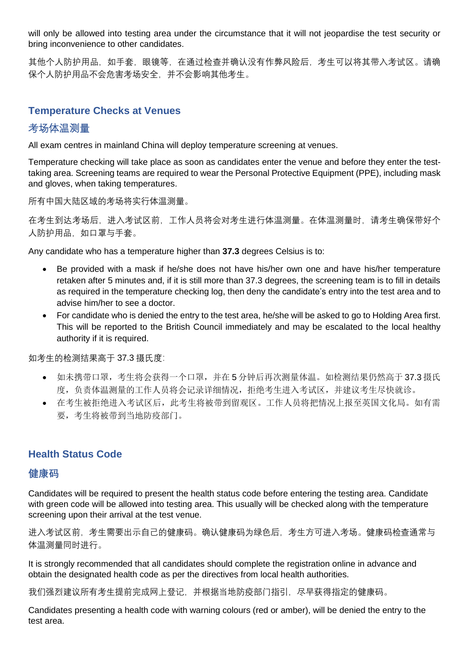will only be allowed into testing area under the circumstance that it will not jeopardise the test security or bring inconvenience to other candidates.

其他个人防护用品,如手套,眼镜等,在通过检查并确认没有作弊风险后,考生可以将其带入考试区。请确 保个人防护用品不会危害考场安全,并不会影响其他考生。

### **Temperature Checks at Venues**

### 考场体温测量

All exam centres in mainland China will deploy temperature screening at venues.

Temperature checking will take place as soon as candidates enter the venue and before they enter the testtaking area. Screening teams are required to wear the Personal Protective Equipment (PPE), including mask and gloves, when taking temperatures.

所有中国大陆区域的考场将实行体温测量。

在考生到达考场后,进入考试区前,工作人员将会对考生进行体温测量。在体温测量时,请考生确保带好个 人防护用品,如口罩与手套。

Any candidate who has a temperature higher than **37.3** degrees Celsius is to:

- Be provided with a mask if he/she does not have his/her own one and have his/her temperature retaken after 5 minutes and, if it is still more than 37.3 degrees, the screening team is to fill in details as required in the temperature checking log, then deny the candidate's entry into the test area and to advise him/her to see a doctor.
- For candidate who is denied the entry to the test area, he/she will be asked to go to Holding Area first. This will be reported to the British Council immediately and may be escalated to the local healthy authority if it is required.

如考生的检测结果高于 37.3 摄氏度:

- 如未携带口罩,考生将会获得一个口罩,并在 5 分钟后再次测量体温。如检测结果仍然高于 37.3 摄氏 度,负责体温测量的工作人员将会记录详细情况,拒绝考生进入考试区,并建议考生尽快就诊。
- 在考生被拒绝进入考试区后,此考生将被带到留观区。工作人员将把情况上报至英国文化局。如有需 要,考生将被带到当地防疫部门。

### **Health Status Code**

#### **健康码**

Candidates will be required to present the health status code before entering the testing area. Candidate with green code will be allowed into testing area. This usually will be checked along with the temperature screening upon their arrival at the test venue.

进入考试区前,考生需要出示自己的健康码。确认健康码为绿色后,考生方可进入考场。健康码检查通常与 体温测量同时进行。

It is strongly recommended that all candidates should complete the registration online in advance and obtain the designated health code as per the directives from local health authorities.

我们强烈建议所有考生提前完成网上登记,并根据当地防疫部门指引,尽早获得指定的健康码。

Candidates presenting a health code with warning colours (red or amber), will be denied the entry to the test area.